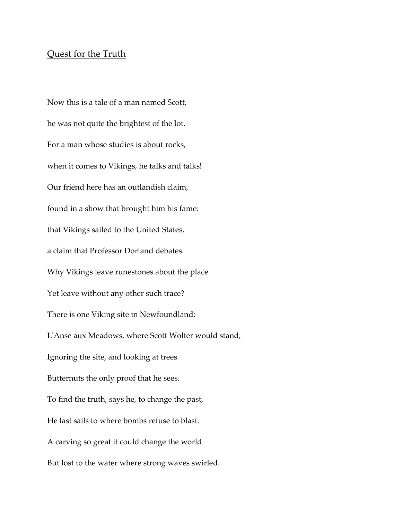## Quest for the Truth

Now this is a tale of a man named Scott, he was not quite the brightest of the lot. For a man whose studies is about rocks, when it comes to Vikings, he talks and talks! Our friend here has an outlandish claim, found in a show that brought him his fame: that Vikings sailed to the United States, a claim that Professor Dorland debates. Why Vikings leave runestones about the place Yet leave without any other such trace? There is one Viking site in Newfoundland: L'Anse aux Meadows, where Scott Wolter would stand, Ignoring the site, and looking at trees Butternuts the only proof that he sees. To find the truth, says he, to change the past, He last sails to where bombs refuse to blast. A carving so great it could change the world But lost to the water where strong waves swirled.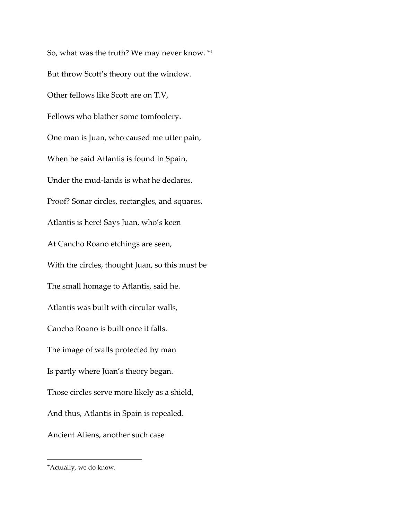So, what was the truth? We may never know. \*[1](#page-1-0) But throw Scott's theory out the window. Other fellows like Scott are on T.V, Fellows who blather some tomfoolery. One man is Juan, who caused me utter pain, When he said Atlantis is found in Spain, Under the mud-lands is what he declares. Proof? Sonar circles, rectangles, and squares. Atlantis is here! Says Juan, who's keen At Cancho Roano etchings are seen, With the circles, thought Juan, so this must be The small homage to Atlantis, said he. Atlantis was built with circular walls, Cancho Roano is built once it falls. The image of walls protected by man Is partly where Juan's theory began. Those circles serve more likely as a shield, And thus, Atlantis in Spain is repealed. Ancient Aliens, another such case

 $\overline{a}$ 

<span id="page-1-0"></span><sup>\*</sup>Actually, we do know.